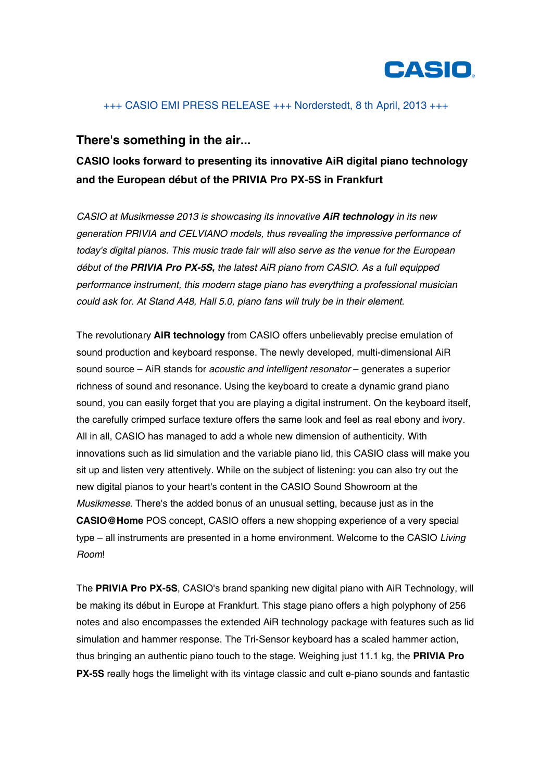

### +++ CASIO EMI PRESS RELEASE +++ Norderstedt, 8 th April, 2013 +++

## **There's something in the air...**

# **CASIO looks forward to presenting its innovative AiR digital piano technology and the European début of the PRIVIA Pro PX-5S in Frankfurt**

*CASIO at Musikmesse 2013 is showcasing its innovative AiR technology in its new generation PRIVIA and CELVIANO models, thus revealing the impressive performance of today's digital pianos. This music trade fair will also serve as the venue for the European début of the PRIVIA Pro PX-5S, the latest AiR piano from CASIO. As a full equipped performance instrument, this modern stage piano has everything a professional musician could ask for. At Stand A48, Hall 5.0, piano fans will truly be in their element.*

The revolutionary **AiR technology** from CASIO offers unbelievably precise emulation of sound production and keyboard response. The newly developed, multi-dimensional AiR sound source – AiR stands for *acoustic and intelligent resonator* – generates a superior richness of sound and resonance. Using the keyboard to create a dynamic grand piano sound, you can easily forget that you are playing a digital instrument. On the keyboard itself, the carefully crimped surface texture offers the same look and feel as real ebony and ivory. All in all, CASIO has managed to add a whole new dimension of authenticity. With innovations such as lid simulation and the variable piano lid, this CASIO class will make you sit up and listen very attentively. While on the subject of listening: you can also try out the new digital pianos to your heart's content in the CASIO Sound Showroom at the *Musikmesse*. There's the added bonus of an unusual setting, because just as in the **CASIO@Home** POS concept, CASIO offers a new shopping experience of a very special type – all instruments are presented in a home environment. Welcome to the CASIO *Living Room*!

The **PRIVIA Pro PX-5S**, CASIO's brand spanking new digital piano with AiR Technology, will be making its début in Europe at Frankfurt. This stage piano offers a high polyphony of 256 notes and also encompasses the extended AiR technology package with features such as lid simulation and hammer response. The Tri-Sensor keyboard has a scaled hammer action, thus bringing an authentic piano touch to the stage. Weighing just 11.1 kg, the **PRIVIA Pro PX-5S** really hogs the limelight with its vintage classic and cult e-piano sounds and fantastic